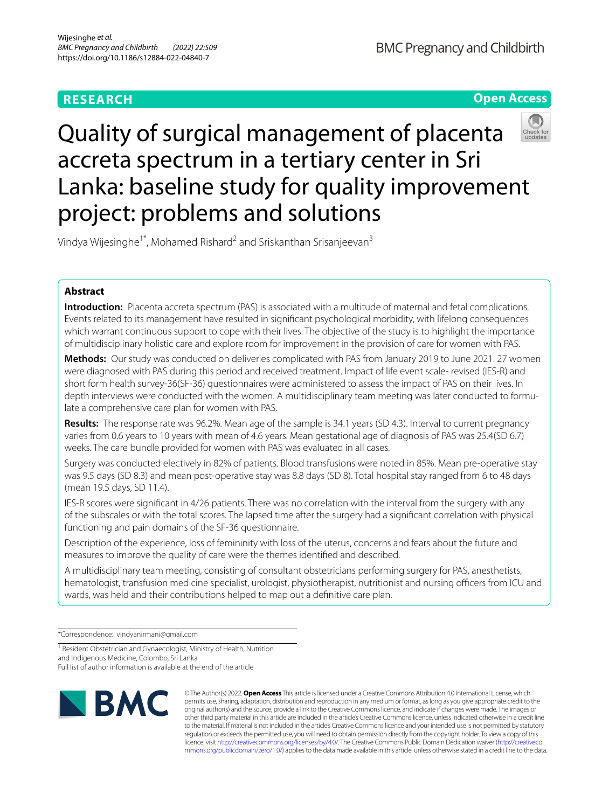## **RESEARCH**

**BMC Pregnancy and Childbirth** 

**Open Access**

# Quality of surgical management of placenta accreta spectrum in a tertiary center in Sri Lanka: baseline study for quality improvement project: problems and solutions

Vindya Wijesinghe<sup>1\*</sup>, Mohamed Rishard<sup>2</sup> and Sriskanthan Srisanjeevan<sup>3</sup>

## **Abstract**

**Introduction:** Placenta accreta spectrum (PAS) is associated with a multitude of maternal and fetal complications. Events related to its management have resulted in signifcant psychological morbidity, with lifelong consequences which warrant continuous support to cope with their lives. The objective of the study is to highlight the importance of multidisciplinary holistic care and explore room for improvement in the provision of care for women with PAS.

**Methods:** Our study was conducted on deliveries complicated with PAS from January 2019 to June 2021. 27 women were diagnosed with PAS during this period and received treatment. Impact of life event scale- revised (IES-R) and short form health survey-36(SF-36) questionnaires were administered to assess the impact of PAS on their lives. In depth interviews were conducted with the women. A multidisciplinary team meeting was later conducted to formulate a comprehensive care plan for women with PAS.

**Results:** The response rate was 96.2%. Mean age of the sample is 34.1 years (SD 4.3). Interval to current pregnancy varies from 0.6 years to 10 years with mean of 4.6 years. Mean gestational age of diagnosis of PAS was 25.4(SD 6.7) weeks. The care bundle provided for women with PAS was evaluated in all cases.

Surgery was conducted electively in 82% of patients. Blood transfusions were noted in 85%. Mean pre-operative stay was 9.5 days (SD 8.3) and mean post-operative stay was 8.8 days (SD 8). Total hospital stay ranged from 6 to 48 days (mean 19.5 days, SD 11.4).

IES-R scores were signifcant in 4/26 patients. There was no correlation with the interval from the surgery with any of the subscales or with the total scores. The lapsed time after the surgery had a signifcant correlation with physical functioning and pain domains of the SF-36 questionnaire.

Description of the experience, loss of femininity with loss of the uterus, concerns and fears about the future and measures to improve the quality of care were the themes identifed and described.

A multidisciplinary team meeting, consisting of consultant obstetricians performing surgery for PAS, anesthetists, hematologist, transfusion medicine specialist, urologist, physiotherapist, nutritionist and nursing officers from ICU and wards, was held and their contributions helped to map out a defnitive care plan.

\*Correspondence: vindyanirmani@gmail.com

<sup>1</sup> Resident Obstetrician and Gynaecologist, Ministry of Health, Nutrition and Indigenous Medicine, Colombo, Sri Lanka

Full list of author information is available at the end of the article



© The Author(s) 2022. **Open Access** This article is licensed under a Creative Commons Attribution 4.0 International License, which permits use, sharing, adaptation, distribution and reproduction in any medium or format, as long as you give appropriate credit to the original author(s) and the source, provide a link to the Creative Commons licence, and indicate if changes were made. The images or other third party material in this article are included in the article's Creative Commons licence, unless indicated otherwise in a credit line to the material. If material is not included in the article's Creative Commons licence and your intended use is not permitted by statutory regulation or exceeds the permitted use, you will need to obtain permission directly from the copyright holder. To view a copy of this licence, visit [http://creativecommons.org/licenses/by/4.0/.](http://creativecommons.org/licenses/by/4.0/) The Creative Commons Public Domain Dedication waiver ([http://creativeco](http://creativecommons.org/publicdomain/zero/1.0/) [mmons.org/publicdomain/zero/1.0/](http://creativecommons.org/publicdomain/zero/1.0/)) applies to the data made available in this article, unless otherwise stated in a credit line to the data.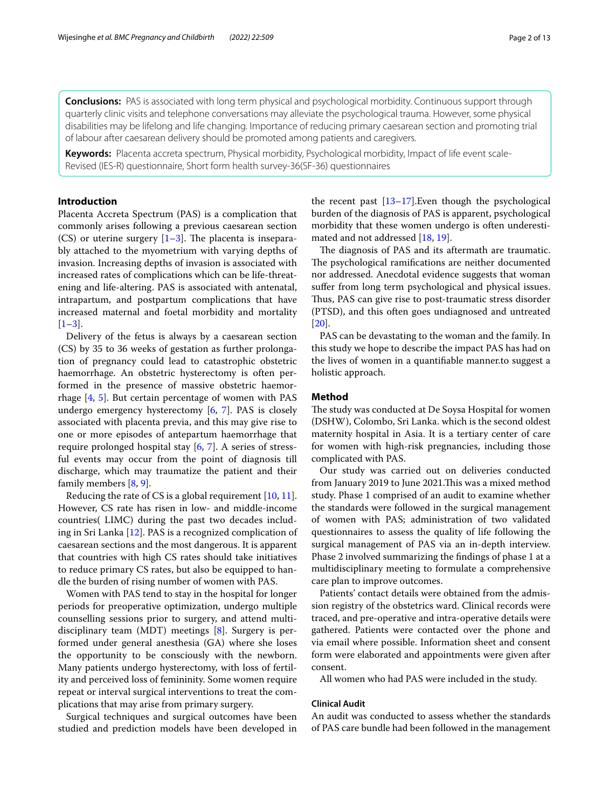**Conclusions:** PAS is associated with long term physical and psychological morbidity. Continuous support through quarterly clinic visits and telephone conversations may alleviate the psychological trauma. However, some physical disabilities may be lifelong and life changing. Importance of reducing primary caesarean section and promoting trial of labour after caesarean delivery should be promoted among patients and caregivers.

**Keywords:** Placenta accreta spectrum, Physical morbidity, Psychological morbidity, Impact of life event scale-Revised (IES-R) questionnaire, Short form health survey-36(SF-36) questionnaires

## **Introduction**

Placenta Accreta Spectrum (PAS) is a complication that commonly arises following a previous caesarean section (CS) or uterine surgery  $[1-3]$  $[1-3]$ . The placenta is inseparably attached to the myometrium with varying depths of invasion. Increasing depths of invasion is associated with increased rates of complications which can be life-threatening and life-altering. PAS is associated with antenatal, intrapartum, and postpartum complications that have increased maternal and foetal morbidity and mortality  $[1-3]$  $[1-3]$ .

Delivery of the fetus is always by a caesarean section (CS) by 35 to 36 weeks of gestation as further prolongation of pregnancy could lead to catastrophic obstetric haemorrhage. An obstetric hysterectomy is often performed in the presence of massive obstetric haemorrhage [[4,](#page-11-2) [5](#page-11-3)]. But certain percentage of women with PAS undergo emergency hysterectomy [[6,](#page-11-4) [7\]](#page-11-5). PAS is closely associated with placenta previa, and this may give rise to one or more episodes of antepartum haemorrhage that require prolonged hospital stay [[6](#page-11-4), [7\]](#page-11-5). A series of stressful events may occur from the point of diagnosis till discharge, which may traumatize the patient and their family members [\[8,](#page-11-6) [9](#page-11-7)].

Reducing the rate of CS is a global requirement [\[10,](#page-11-8) [11](#page-11-9)]. However, CS rate has risen in low- and middle-income countries( LIMC) during the past two decades including in Sri Lanka [[12](#page-11-10)]. PAS is a recognized complication of caesarean sections and the most dangerous. It is apparent that countries with high CS rates should take initiatives to reduce primary CS rates, but also be equipped to handle the burden of rising number of women with PAS.

Women with PAS tend to stay in the hospital for longer periods for preoperative optimization, undergo multiple counselling sessions prior to surgery, and attend multidisciplinary team (MDT) meetings [\[8](#page-11-6)]. Surgery is performed under general anesthesia (GA) where she loses the opportunity to be consciously with the newborn. Many patients undergo hysterectomy, with loss of fertility and perceived loss of femininity. Some women require repeat or interval surgical interventions to treat the complications that may arise from primary surgery.

Surgical techniques and surgical outcomes have been studied and prediction models have been developed in the recent past  $[13-17]$  $[13-17]$ . Even though the psychological burden of the diagnosis of PAS is apparent, psychological morbidity that these women undergo is often underestimated and not addressed [[18](#page-11-13), [19\]](#page-11-14).

The diagnosis of PAS and its aftermath are traumatic. The psychological ramifications are neither documented nor addressed. Anecdotal evidence suggests that woman sufer from long term psychological and physical issues. Thus, PAS can give rise to post-traumatic stress disorder (PTSD), and this often goes undiagnosed and untreated [[20\]](#page-11-15).

PAS can be devastating to the woman and the family. In this study we hope to describe the impact PAS has had on the lives of women in a quantifable manner.to suggest a holistic approach.

## **Method**

The study was conducted at De Soysa Hospital for women (DSHW), Colombo, Sri Lanka. which is the second oldest maternity hospital in Asia. It is a tertiary center of care for women with high-risk pregnancies, including those complicated with PAS.

Our study was carried out on deliveries conducted from January 2019 to June 2021. This was a mixed method study. Phase 1 comprised of an audit to examine whether the standards were followed in the surgical management of women with PAS; administration of two validated questionnaires to assess the quality of life following the surgical management of PAS via an in-depth interview. Phase 2 involved summarizing the fndings of phase 1 at a multidisciplinary meeting to formulate a comprehensive care plan to improve outcomes.

Patients' contact details were obtained from the admission registry of the obstetrics ward. Clinical records were traced, and pre-operative and intra-operative details were gathered. Patients were contacted over the phone and via email where possible. Information sheet and consent form were elaborated and appointments were given after consent.

All women who had PAS were included in the study.

## **Clinical Audit**

An audit was conducted to assess whether the standards of PAS care bundle had been followed in the management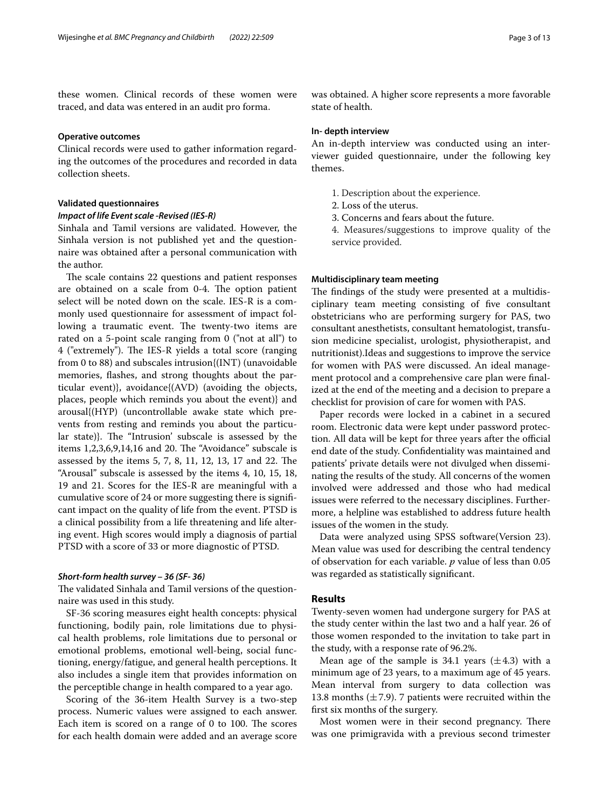these women. Clinical records of these women were traced, and data was entered in an audit pro forma.

## **Operative outcomes**

Clinical records were used to gather information regarding the outcomes of the procedures and recorded in data collection sheets.

## **Validated questionnaires**

## *Impact of life Event scale ‑Revised (IES‑R)*

Sinhala and Tamil versions are validated. However, the Sinhala version is not published yet and the questionnaire was obtained after a personal communication with the author.

The scale contains 22 questions and patient responses are obtained on a scale from 0-4. The option patient select will be noted down on the scale. IES-R is a commonly used questionnaire for assessment of impact following a traumatic event. The twenty-two items are rated on a 5-point scale ranging from 0 ("not at all") to 4 ("extremely"). The IES-R yields a total score (ranging from 0 to 88) and subscales intrusion{(INT) (unavoidable memories, fashes, and strong thoughts about the particular event)}, avoidance{(AVD) (avoiding the objects, places, people which reminds you about the event)} and arousal{(HYP) (uncontrollable awake state which prevents from resting and reminds you about the particular state)}. The "Intrusion' subscale is assessed by the items  $1,2,3,6,9,14,16$  and 20. The "Avoidance" subscale is assessed by the items 5, 7, 8, 11, 12, 13, 17 and 22. The "Arousal" subscale is assessed by the items 4, 10, 15, 18, 19 and 21. Scores for the IES-R are meaningful with a cumulative score of 24 or more suggesting there is signifcant impact on the quality of life from the event. PTSD is a clinical possibility from a life threatening and life altering event. High scores would imply a diagnosis of partial PTSD with a score of 33 or more diagnostic of PTSD.

## *Short‑form health survey – 36 (SF‑ 36)*

The validated Sinhala and Tamil versions of the questionnaire was used in this study.

SF-36 scoring measures eight health concepts: physical functioning, bodily pain, role limitations due to physical health problems, role limitations due to personal or emotional problems, emotional well-being, social functioning, energy/fatigue, and general health perceptions. It also includes a single item that provides information on the perceptible change in health compared to a year ago.

Scoring of the 36-item Health Survey is a two-step process. Numeric values were assigned to each answer. Each item is scored on a range of  $0$  to  $100$ . The scores for each health domain were added and an average score was obtained. A higher score represents a more favorable state of health.

## **In‑ depth interview**

An in-depth interview was conducted using an interviewer guided questionnaire, under the following key themes.

- 1. Description about the experience.
- 2. Loss of the uterus.
- 3. Concerns and fears about the future.
- 4. Measures/suggestions to improve quality of the service provided.

## **Multidisciplinary team meeting**

The findings of the study were presented at a multidisciplinary team meeting consisting of fve consultant obstetricians who are performing surgery for PAS, two consultant anesthetists, consultant hematologist, transfusion medicine specialist, urologist, physiotherapist, and nutritionist).Ideas and suggestions to improve the service for women with PAS were discussed. An ideal management protocol and a comprehensive care plan were fnalized at the end of the meeting and a decision to prepare a checklist for provision of care for women with PAS.

Paper records were locked in a cabinet in a secured room. Electronic data were kept under password protection. All data will be kept for three years after the official end date of the study. Confdentiality was maintained and patients' private details were not divulged when disseminating the results of the study. All concerns of the women involved were addressed and those who had medical issues were referred to the necessary disciplines. Furthermore, a helpline was established to address future health issues of the women in the study.

Data were analyzed using SPSS software(Version 23). Mean value was used for describing the central tendency of observation for each variable. *p* value of less than 0.05 was regarded as statistically signifcant.

## **Results**

Twenty-seven women had undergone surgery for PAS at the study center within the last two and a half year. 26 of those women responded to the invitation to take part in the study, with a response rate of 96.2%.

Mean age of the sample is 34.1 years  $(\pm 4.3)$  with a minimum age of 23 years, to a maximum age of 45 years. Mean interval from surgery to data collection was 13.8 months  $(\pm 7.9)$ . 7 patients were recruited within the frst six months of the surgery.

Most women were in their second pregnancy. There was one primigravida with a previous second trimester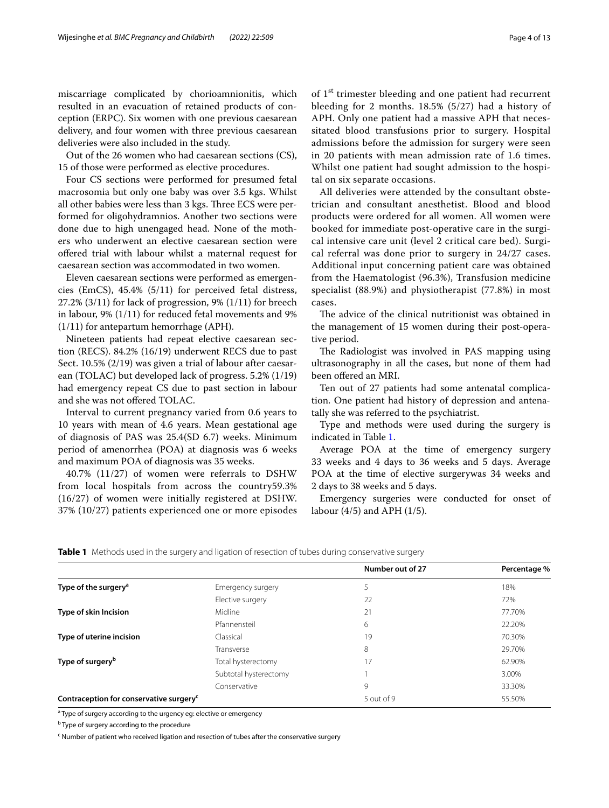miscarriage complicated by chorioamnionitis, which resulted in an evacuation of retained products of conception (ERPC). Six women with one previous caesarean delivery, and four women with three previous caesarean deliveries were also included in the study.

Out of the 26 women who had caesarean sections (CS), 15 of those were performed as elective procedures.

Four CS sections were performed for presumed fetal macrosomia but only one baby was over 3.5 kgs. Whilst all other babies were less than 3 kgs. Three ECS were performed for oligohydramnios. Another two sections were done due to high unengaged head. None of the mothers who underwent an elective caesarean section were ofered trial with labour whilst a maternal request for caesarean section was accommodated in two women.

Eleven caesarean sections were performed as emergencies (EmCS), 45.4% (5/11) for perceived fetal distress, 27.2% (3/11) for lack of progression, 9% (1/11) for breech in labour, 9% (1/11) for reduced fetal movements and 9% (1/11) for antepartum hemorrhage (APH).

Nineteen patients had repeat elective caesarean section (RECS). 84.2% (16/19) underwent RECS due to past Sect. 10.5% (2/19) was given a trial of labour after caesarean (TOLAC) but developed lack of progress. 5.2% (1/19) had emergency repeat CS due to past section in labour and she was not ofered TOLAC.

Interval to current pregnancy varied from 0.6 years to 10 years with mean of 4.6 years. Mean gestational age of diagnosis of PAS was 25.4(SD 6.7) weeks. Minimum period of amenorrhea (POA) at diagnosis was 6 weeks and maximum POA of diagnosis was 35 weeks.

40.7% (11/27) of women were referrals to DSHW from local hospitals from across the country59.3% (16/27) of women were initially registered at DSHW. 37% (10/27) patients experienced one or more episodes of 1<sup>st</sup> trimester bleeding and one patient had recurrent bleeding for 2 months. 18.5% (5/27) had a history of APH. Only one patient had a massive APH that necessitated blood transfusions prior to surgery. Hospital admissions before the admission for surgery were seen in 20 patients with mean admission rate of 1.6 times. Whilst one patient had sought admission to the hospital on six separate occasions.

All deliveries were attended by the consultant obstetrician and consultant anesthetist. Blood and blood products were ordered for all women. All women were booked for immediate post-operative care in the surgical intensive care unit (level 2 critical care bed). Surgical referral was done prior to surgery in 24/27 cases. Additional input concerning patient care was obtained from the Haematologist (96.3%), Transfusion medicine specialist (88.9%) and physiotherapist (77.8%) in most cases.

The advice of the clinical nutritionist was obtained in the management of 15 women during their post-operative period.

The Radiologist was involved in PAS mapping using ultrasonography in all the cases, but none of them had been ofered an MRI.

Ten out of 27 patients had some antenatal complication. One patient had history of depression and antenatally she was referred to the psychiatrist.

Type and methods were used during the surgery is indicated in Table [1.](#page-3-0)

Average POA at the time of emergency surgery 33 weeks and 4 days to 36 weeks and 5 days. Average POA at the time of elective surgerywas 34 weeks and 2 days to 38 weeks and 5 days.

Emergency surgeries were conducted for onset of labour (4/5) and APH (1/5).

<span id="page-3-0"></span>**Table 1** Methods used in the surgery and ligation of resection of tubes during conservative surgery

|                                                     |                       | Number out of 27 | Percentage % |
|-----------------------------------------------------|-----------------------|------------------|--------------|
| Type of the surgery <sup>a</sup>                    | Emergency surgery     |                  | 18%          |
|                                                     | Elective surgery      | 22               | 72%          |
| Type of skin Incision                               | Midline               | 21               | 77.70%       |
|                                                     | Pfannensteil          | 6                | 22.20%       |
| Type of uterine incision                            | Classical             | 19               | 70.30%       |
|                                                     | Transverse            | 8                | 29.70%       |
| Type of surgery <sup>b</sup>                        | Total hysterectomy    | 17               | 62.90%       |
|                                                     | Subtotal hysterectomy |                  | 3.00%        |
|                                                     | Conservative          | 9                | 33.30%       |
| Contraception for conservative surgery <sup>c</sup> |                       | 5 out of 9       | 55.50%       |

<sup>a</sup> Type of surgery according to the urgency eg: elective or emergency

<sup>b</sup> Type of surgery according to the procedure

<sup>c</sup> Number of patient who received ligation and resection of tubes after the conservative surgery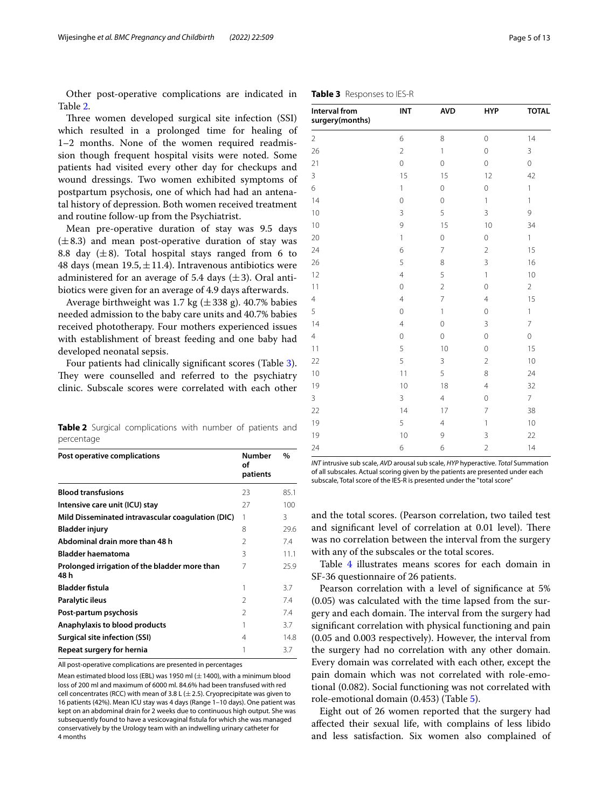Other post-operative complications are indicated in Table [2](#page-4-0).

Three women developed surgical site infection (SSI) which resulted in a prolonged time for healing of 1–2 months. None of the women required readmission though frequent hospital visits were noted. Some patients had visited every other day for checkups and wound dressings. Two women exhibited symptoms of postpartum psychosis, one of which had had an antenatal history of depression. Both women received treatment and routine follow-up from the Psychiatrist.

Mean pre-operative duration of stay was 9.5 days  $(\pm 8.3)$  and mean post-operative duration of stay was 8.8 day  $(\pm 8)$ . Total hospital stays ranged from 6 to 48 days (mean  $19.5, \pm 11.4$ ). Intravenous antibiotics were administered for an average of 5.4 days  $(\pm 3)$ . Oral antibiotics were given for an average of 4.9 days afterwards.

Average birthweight was 1.7 kg  $(\pm 338 \text{ g})$ . 40.7% babies needed admission to the baby care units and 40.7% babies received phototherapy. Four mothers experienced issues with establishment of breast feeding and one baby had developed neonatal sepsis.

Four patients had clinically signifcant scores (Table [3](#page-4-1)). They were counselled and referred to the psychiatry clinic. Subscale scores were correlated with each other

<span id="page-4-0"></span>**Table 2** Surgical complications with number of patients and percentage

| Post operative complications                          | <b>Number</b><br>οf<br>patients | $\%$ |
|-------------------------------------------------------|---------------------------------|------|
| <b>Blood transfusions</b>                             | 23                              | 85.1 |
| Intensive care unit (ICU) stay                        | 27                              | 100  |
| Mild Disseminated intravascular coagulation (DIC)     | 1                               | 3    |
| <b>Bladder injury</b>                                 | 8                               | 29.6 |
| Abdominal drain more than 48 h                        | $\mathcal{P}$                   | 7.4  |
| <b>Bladder haematoma</b>                              | 3                               | 11.1 |
| Prolonged irrigation of the bladder more than<br>48 h | 7                               | 25.9 |
| <b>Bladder fistula</b>                                | 1                               | 3.7  |
| Paralytic ileus                                       | $\mathcal{P}$                   | 7.4  |
| Post-partum psychosis                                 | $\mathfrak{D}$                  | 7.4  |
| Anaphylaxis to blood products                         |                                 | 3.7  |
| <b>Surgical site infection (SSI)</b>                  | 4                               | 14.8 |
| Repeat surgery for hernia                             |                                 | 3.7  |

All post-operative complications are presented in percentages

Mean estimated blood loss (EBL) was 1950 ml ( $\pm$ 1400), with a minimum blood loss of 200 ml and maximum of 6000 ml. 84.6% had been transfused with red cell concentrates (RCC) with mean of 3.8 L ( $\pm$  2.5). Cryoprecipitate was given to 16 patients (42%). Mean ICU stay was 4 days (Range 1–10 days). One patient was kept on an abdominal drain for 2 weeks due to continuous high output. She was subsequently found to have a vesicovaginal fstula for which she was managed conservatively by the Urology team with an indwelling urinary catheter for 4 months

| Interval from<br>surgery(months) | INT            | <b>AVD</b>     | <b>HYP</b>     | <b>TOTAL</b>   |
|----------------------------------|----------------|----------------|----------------|----------------|
| $\overline{2}$                   | 6              | 8              | $\overline{0}$ | 14             |
| 26                               | $\overline{2}$ | $\mathbf{1}$   | $\mathbf 0$    | 3              |
| 21                               | $\circ$        | 0              | $\mathbf 0$    | $\mathbf 0$    |
| 3                                | 15             | 15             | 12             | 42             |
| 6                                | $\mathbf{1}$   | $\circ$        | $\mathbf 0$    | 1              |
| 14                               | $\circ$        | 0              | $\mathbf{1}$   | 1              |
| 10                               | 3              | 5              | 3              | 9              |
| 10                               | 9              | 15             | 10             | 34             |
| 20                               | $\mathbf{1}$   | 0              | $\mathbf 0$    | 1              |
| 24                               | 6              | $\overline{7}$ | $\overline{2}$ | 15             |
| 26                               | 5              | 8              | 3              | 16             |
| 12                               | $\overline{4}$ | 5              | $\mathbf{1}$   | 10             |
| 11                               | $\mathbf 0$    | $\overline{2}$ | $\mathbf 0$    | $\overline{2}$ |
| $\overline{4}$                   | $\overline{4}$ | $\overline{7}$ | $\overline{4}$ | 15             |
| 5                                | $\overline{0}$ | $\mathbf{1}$   | $\mathbf 0$    | 1              |
| 14                               | $\overline{4}$ | 0              | 3              | 7              |
| $\overline{4}$                   | $\circ$        | 0              | $\mathbf 0$    | 0              |
| 11                               | 5              | 10             | $\mathbf 0$    | 15             |
| 22                               | 5              | 3              | $\overline{2}$ | 10             |
| 10                               | 11             | 5              | 8              | 24             |
| 19                               | 10             | 18             | $\overline{4}$ | 32             |
| $\overline{3}$                   | 3              | $\overline{4}$ | $\mathbf 0$    | $\overline{7}$ |
| 22                               | 14             | 17             | $\overline{7}$ | 38             |
| 19                               | 5              | $\overline{4}$ | $\mathbf{1}$   | 10             |
| 19                               | 10             | 9              | 3              | 22             |
| 24                               | 6              | 6              | $\overline{2}$ | 14             |

<span id="page-4-1"></span>**Table 3** Responses to IES-R

*INT* intrusive sub scale, *AVD* arousal sub scale, *HYP* hyperactive. *Total* Summation of all subscales. Actual scoring given by the patients are presented under each subscale, Total score of the IES-R is presented under the "total score"

and the total scores. (Pearson correlation, two tailed test and significant level of correlation at 0.01 level). There was no correlation between the interval from the surgery with any of the subscales or the total scores.

Table [4](#page-5-0) illustrates means scores for each domain in SF-36 questionnaire of 26 patients.

Pearson correlation with a level of signifcance at 5% (0.05) was calculated with the time lapsed from the surgery and each domain. The interval from the surgery had signifcant correlation with physical functioning and pain (0.05 and 0.003 respectively). However, the interval from the surgery had no correlation with any other domain. Every domain was correlated with each other, except the pain domain which was not correlated with role-emotional (0.082). Social functioning was not correlated with role-emotional domain (0.453) (Table [5\)](#page-6-0).

Eight out of 26 women reported that the surgery had afected their sexual life, with complains of less libido and less satisfaction. Six women also complained of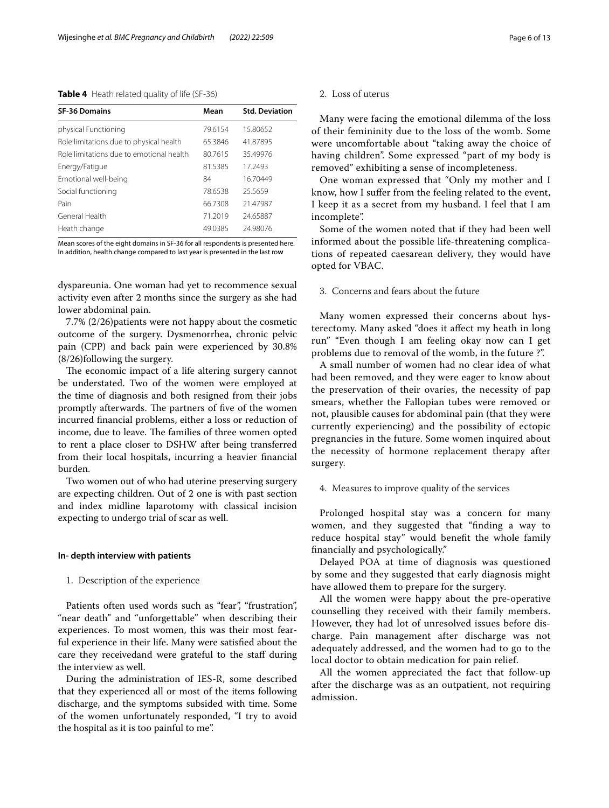## <span id="page-5-0"></span>**Table 4** Heath related quality of life (SF-36)

| <b>SF-36 Domains</b>                     | Mean    | <b>Std. Deviation</b> |
|------------------------------------------|---------|-----------------------|
| physical Functioning                     | 79.6154 | 15.80652              |
| Role limitations due to physical health  | 65.3846 | 41.87895              |
| Role limitations due to emotional health | 80.7615 | 35.49976              |
| Energy/Fatigue                           | 81.5385 | 17.2493               |
| Emotional well-being                     | 84      | 16.70449              |
| Social functioning                       | 78.6538 | 25.5659               |
| Pain                                     | 66.7308 | 21.47987              |
| General Health                           | 71.2019 | 24.65887              |
| Heath change                             | 49.0385 | 24.98076              |

Mean scores of the eight domains in SF-36 for all respondents is presented here. In addition, health change compared to last year is presented in the last ro**w**

dyspareunia. One woman had yet to recommence sexual activity even after 2 months since the surgery as she had lower abdominal pain.

7.7% (2/26)patients were not happy about the cosmetic outcome of the surgery. Dysmenorrhea, chronic pelvic pain (CPP) and back pain were experienced by 30.8% (8/26)following the surgery.

The economic impact of a life altering surgery cannot be understated. Two of the women were employed at the time of diagnosis and both resigned from their jobs promptly afterwards. The partners of five of the women incurred fnancial problems, either a loss or reduction of income, due to leave. The families of three women opted to rent a place closer to DSHW after being transferred from their local hospitals, incurring a heavier fnancial burden.

Two women out of who had uterine preserving surgery are expecting children. Out of 2 one is with past section and index midline laparotomy with classical incision expecting to undergo trial of scar as well.

#### **In‑ depth interview with patients**

## 1. Description of the experience

Patients often used words such as "fear", "frustration", "near death" and "unforgettable" when describing their experiences. To most women, this was their most fearful experience in their life. Many were satisfed about the care they receivedand were grateful to the staf during the interview as well.

During the administration of IES-R, some described that they experienced all or most of the items following discharge, and the symptoms subsided with time. Some of the women unfortunately responded, "I try to avoid the hospital as it is too painful to me".

## 2. Loss of uterus

Many were facing the emotional dilemma of the loss of their femininity due to the loss of the womb. Some were uncomfortable about "taking away the choice of having children". Some expressed "part of my body is removed" exhibiting a sense of incompleteness.

One woman expressed that "Only my mother and I know, how I sufer from the feeling related to the event, I keep it as a secret from my husband. I feel that I am incomplete".

Some of the women noted that if they had been well informed about the possible life-threatening complications of repeated caesarean delivery, they would have opted for VBAC.

## 3. Concerns and fears about the future

Many women expressed their concerns about hysterectomy. Many asked "does it afect my heath in long run" "Even though I am feeling okay now can I get problems due to removal of the womb, in the future ?".

A small number of women had no clear idea of what had been removed, and they were eager to know about the preservation of their ovaries, the necessity of pap smears, whether the Fallopian tubes were removed or not, plausible causes for abdominal pain (that they were currently experiencing) and the possibility of ectopic pregnancies in the future. Some women inquired about the necessity of hormone replacement therapy after surgery.

## 4. Measures to improve quality of the services

Prolonged hospital stay was a concern for many women, and they suggested that "fnding a way to reduce hospital stay" would beneft the whole family fnancially and psychologically."

Delayed POA at time of diagnosis was questioned by some and they suggested that early diagnosis might have allowed them to prepare for the surgery.

All the women were happy about the pre-operative counselling they received with their family members. However, they had lot of unresolved issues before discharge. Pain management after discharge was not adequately addressed, and the women had to go to the local doctor to obtain medication for pain relief.

All the women appreciated the fact that follow-up after the discharge was as an outpatient, not requiring admission.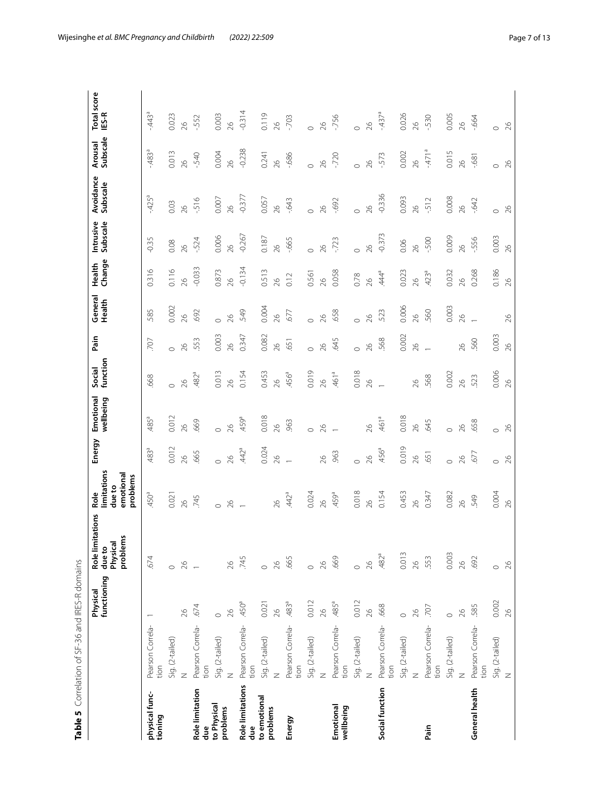|                           |                          | functioning<br>Physical | limitations<br>problems<br>Physical<br>due to<br>Role | limitations<br>emotional<br>problems<br>due to<br>Role | Energy           | wellbeing<br>Emotional | function<br>Social | Pain          | General<br>Health | Change<br><b>Health</b> | Subscale<br>Intrusive | Avoidance<br>Subscale | Subscale<br>Arousal | <b>Total score</b><br>IES-R |
|---------------------------|--------------------------|-------------------------|-------------------------------------------------------|--------------------------------------------------------|------------------|------------------------|--------------------|---------------|-------------------|-------------------------|-----------------------|-----------------------|---------------------|-----------------------------|
| physical func-<br>tioning | Pearson Correla-<br>tion |                         | .674                                                  | $-450$ <sup>a</sup>                                    | 483ª             | 485ª                   | 668                | 707           | 585               | 0.316                   | 0.35                  | $425^a$               | $483^{a}$           | 443ª                        |
|                           | Sig. (2-tailed)          |                         | $\circ$                                               | 0.021                                                  | 0.012            | 0.012                  |                    |               | 0.002             | 0.116                   | 0.08                  | 0.03                  | 0.013               | 0.023                       |
|                           | $\overline{z}$           | 26                      | 26                                                    | $\delta$                                               | 82               | $\delta$               | 26                 | 26            | $\delta$          | $\infty$                | $\delta$              | $\delta$              | $\frac{8}{2}$       | 26                          |
| Role limitation<br>due    | Pearson Correla-<br>tion | .674                    |                                                       | 745                                                    | .665             | 669                    | 482ª               | 553           | 692               | $-0.033$                | $-524$                | 516                   | .540                | -.552                       |
| to Physical               | Sig. (2-tailed)          | $\circ$                 |                                                       |                                                        |                  | $\circ$                | 0.013              | 0.003         | $\circ$           | 0.873                   | 0.006                 | 0.007                 | 0.004               | 0.003                       |
| problems                  | $\overline{z}$           | 26                      | $\approx$                                             | 26                                                     | 26               | $\frac{8}{2}$          | 26                 | $\frac{8}{2}$ | 26                | $\frac{26}{5}$          | $\frac{26}{5}$        | 26                    | $\frac{26}{5}$      | 26                          |
| Role limitations<br>due   | Pearson Correla-<br>tion | $-450$ <sup>a</sup>     | 745                                                   |                                                        | 442 <sup>ª</sup> | 459ª                   | 0.154              | 0.347         | 549               | $-0.134$                | $-0.267$              | $-0.377$              | $-0.238$            | $-0.314$                    |
| to emotional              | Sig. (2-tailed)          | 0.021                   | $\circ$                                               |                                                        | 0.024            | 0.018                  | 0.453              | 0.082         | 0.004             | 0.513                   | 0.187                 | 0.057                 | 0.241               | 0.119                       |
| problems                  | $\geq$                   | 26                      | 26                                                    | 26                                                     | 26               | $\frac{26}{5}$         | 26                 | $\frac{8}{2}$ | $\frac{8}{2}$     | $\frac{8}{2}$           | 26                    | 26                    | $\frac{26}{5}$      | 26                          |
| Energy                    | Pearson Correla-<br>tion | $-483$ <sup>a</sup>     | 665                                                   | $442^a$                                                |                  | 963                    | .456 <sup>a</sup>  | 651           | 577               | 0.12                    | $-665$                | $-643$                | $-686$              | $-703$                      |
|                           | Sig. (2-tailed)          | 0.012                   | $\circ$                                               | 0.024                                                  |                  | $\circ$                | 0.019              | $\circ$       | $\circ$           | 0.561                   | $\circ$               | $\circ$               |                     | $\circ$                     |
|                           | $\mathbb Z$              | 26                      | 26                                                    | 26                                                     | 26               | 26                     | 26                 | $\delta$      | $\delta$          | $\frac{26}{5}$          | $\delta$              | 26                    | 26                  | 26                          |
| Emotional<br>wellbeing    | Pearson Correla-<br>tion | .485a                   | 669                                                   | 459ª                                                   | .963             |                        | 461ª               | 645           | 658               | 0.058                   | $-723$                | $-692$                | $-720$              | $-756$                      |
|                           | Sig. (2-tailed)          | 0.012                   | $\circ$                                               | 0.018                                                  | $\circ$          |                        | 0.018              | $\circ$       | $\circ$           | 0.78                    |                       | $\circ$               | $\circ$             | $\circ$                     |
|                           | $\overline{z}$           | 26                      | 26                                                    | 26                                                     | 26               | $\delta$               | 26                 | 26            | $\delta$          | $\frac{8}{2}$           | $\overline{26}$       | 26                    | $\overline{26}$     | 26                          |
| Social function           | Pearson Correla-<br>tion | .668                    | .482 <sup>a</sup>                                     | 0.154                                                  | .456ª            | 461ª                   |                    | 568           | 523               | 44 <sup>a</sup>         | $-0.373$              | $-0.336$              | $-573$              | $-437$ <sup>a</sup>         |
|                           | Sig. (2-tailed)          | $\circ$                 | 0.013                                                 | 0.453                                                  | 0.019            | 0.018                  |                    | 0.002         | 0.006             | 0.023                   | 0.06                  | 0.093                 | 0.002               | 0.026                       |
|                           | $\geq$                   | 26                      | $\beta$                                               | $\frac{5}{2}$                                          | $\delta$         | $\frac{5}{2}$          | 26                 | $\delta$      | $\frac{8}{2}$     | $\frac{8}{2}$           | $\frac{5}{2}$         | 26                    | $\frac{8}{2}$       | 26                          |
| Pain                      | Pearson Correla-<br>tion | .707                    | 553                                                   | 0.347                                                  | 651              | 645                    | 568                |               | 560               | 423ª                    | $-500$                | $-512$                | $-471$ <sup>a</sup> | $-530$                      |
|                           | Sig. (2-tailed)          | $\circ$                 | 0.003                                                 | 0.082                                                  | $\circ$          | $\circ$                | 0.002              |               | 0.003             | 0.032                   | 0.009                 | 0.008                 | 0.015               | 0.005                       |
|                           | $\overline{z}$           | 26                      | $\frac{26}{5}$                                        | 26                                                     | 26               | 26                     | 26                 | $\frac{8}{2}$ | $\frac{8}{2}$     | $\frac{8}{2}$           | $\frac{5}{2}$         | 26                    | $\frac{8}{2}$       | 26                          |
| General health            | Pearson Correla-<br>tion | .585                    | .692                                                  | 549                                                    | .677             | 658                    | 523                | 560           |                   | 0.268                   | -.556                 | $-642$                | $-681$              | $-664$                      |
|                           | Sig. (2-tailed)          | 0.002                   | $\circ$                                               | 0.004                                                  | $\circ$          | $\circ$                | 0.006              | 0.003         |                   | 0.186                   | 0.003                 | $\circ$               | $\circ$             | $\circ$                     |
|                           | $\overline{z}$           | 26                      | 26                                                    | 26                                                     | 26               | $\approx$              | 26                 | 26            | 26                | 26                      | 26                    | 26                    | 26                  | 26                          |

<span id="page-6-0"></span>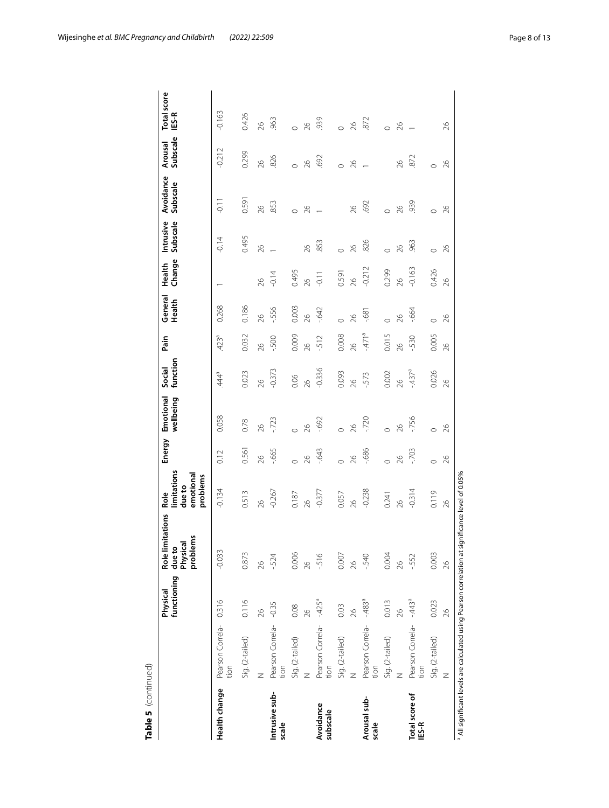| Table 5 (continued)     |                                                                                 |                         |                                                                |                                                       |         |                        |                     |                  |                   |                  |                       |                       |                     |                             |
|-------------------------|---------------------------------------------------------------------------------|-------------------------|----------------------------------------------------------------|-------------------------------------------------------|---------|------------------------|---------------------|------------------|-------------------|------------------|-----------------------|-----------------------|---------------------|-----------------------------|
|                         |                                                                                 | functioning<br>Physical | <b>Role limitations</b><br>lems<br>Physical<br>due to<br>probl | limitations<br>emotional<br>problems<br>dueto<br>Role | Energy  | Emotional<br>wellbeing | function<br>Social  | Pain             | General<br>Health | Change<br>Health | Intrusive<br>Subscale | Avoidance<br>Subscale | Subscale<br>Arousal | <b>Total score</b><br>IES-R |
| Health change           | Pearson Correla-<br>tion                                                        | 0.316                   | $-0.033$                                                       | $-0.134$                                              | 0.12    | 0.058                  | 44ª                 | 423 <sup>a</sup> | 0.268             |                  | $-0.14$               | $\overline{5}$        | $-0.212$            | $-0.163$                    |
|                         | Sig. (2-tailed)                                                                 | 0.116                   | 0.873                                                          | 0.513                                                 | 0.561   | 0.78                   | 0.023               | 0.032            | 0.186             |                  | 0.495                 | 0.591                 | 0.299               | 0.426                       |
|                         | Z                                                                               | 26                      | 26                                                             | 26                                                    | 26      | $\beta$                | 26                  | 82               | $\frac{8}{2}$     | 26               | $\approx$             | 26                    | $\frac{8}{2}$       | 26                          |
| Intrusive sub-<br>scale | Pearson Correla- -0.35<br>tion                                                  |                         | $-524$                                                         | $-0.267$                                              | $-665$  | $-723$                 | $-0.373$            | 500              | -.556             | $-0.14$          |                       | .853                  | 826                 | .963                        |
|                         | Sig. (2-tailed)                                                                 | 0.08                    | 0.006                                                          | 0.187                                                 | $\circ$ |                        | 0.06                | 0.009            | 0.003             | 0.495            |                       | $\circ$               | $\circ$             | $\circ$                     |
|                         | Z                                                                               | $\frac{8}{2}$           | 26                                                             | 26                                                    | $\beta$ | 26                     | 26                  | 26               | 26                | 26               | 26                    | 26                    | 26                  | $\beta$                     |
| Avoidance<br>subscale   | Pearson Correla-<br>tion                                                        | $-425$ <sup>a</sup>     | $-516$                                                         | $-0.377$                                              | $-643$  | $-692$                 | $-0.336$            | $-512$           | $-642$            | $-0.11$          | 853                   |                       | .692                | 939                         |
|                         | Sig. (2-tailed)                                                                 | 0.03                    | 0.007                                                          | 0.057                                                 | $\circ$ | $\circ$                | 0.093               | 0.008            | $\circ$           | 0.591            | $\circ$               |                       | $\circ$             | $\circ$                     |
|                         | Z                                                                               | 26                      | $\frac{8}{2}$                                                  | 26                                                    | 26      | $\frac{8}{2}$          | 26                  | $\frac{8}{2}$    | $\delta$          | 26               | $\infty$              | 26                    | 26                  | 26                          |
| Arousal sub-<br>scale   | Pearson Correla- -.483ª<br>tion                                                 |                         | $-540$                                                         | $-0.238$                                              | $-686$  | $-720$                 | $-573$              | $-471^{\circ}$   | $-68$             | $-0.212$         | .826                  | .692                  |                     | 872                         |
|                         | Sig. (2-tailed)                                                                 | 0.013                   | 0.004                                                          | 0.241                                                 | $\circ$ | $\circ$                | 0.002               | 0.015            | $\circ$           | 0.299            | $\circ$               | $\circ$               |                     | $\circ$                     |
|                         | Z                                                                               | 26                      | 26                                                             | 26                                                    | 26      | $\frac{8}{2}$          | 26                  | 26               | $\delta$          | 26               | 26                    | 26                    | $\approx$           | 26                          |
| Total score of<br>IES-R | Pearson Correla-<br>tion                                                        | $-443^{\circ}$          | $-552$                                                         | $-0.314$                                              | $-703$  | $-756$                 | $-437$ <sup>a</sup> | $-530$           | $-664$            | $-0.163$         | .963                  | .939                  | 872                 |                             |
|                         | Sig. (2-tailed)                                                                 | 0.023                   | 0.003                                                          | 0.119                                                 | $\circ$ | $\circ$                | 0.026               | 0.005            | $\circ$           | 0.426            | $\circ$               | $\circ$               | $\circ$             |                             |
|                         | Z                                                                               | 26                      | $\approx$                                                      | 26                                                    | 26      | 26                     | 26                  | $\infty$         | 26                | 26               | 26                    | 26                    | 26                  | 26                          |
|                         | <sup>a</sup> All significant levels are calculated using Pearson correlation at |                         | significance level of 0.05%                                    |                                                       |         |                        |                     |                  |                   |                  |                       |                       |                     |                             |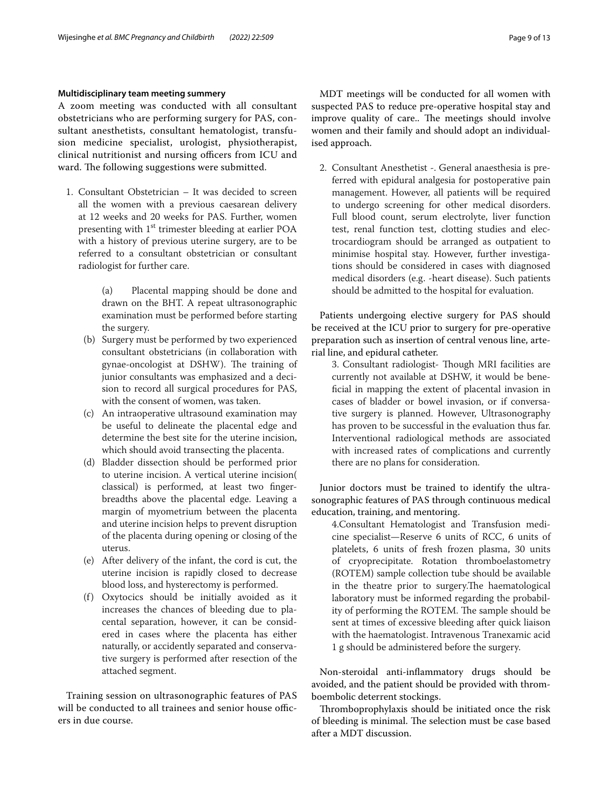## **Multidisciplinary team meeting summery**

A zoom meeting was conducted with all consultant obstetricians who are performing surgery for PAS, consultant anesthetists, consultant hematologist, transfusion medicine specialist, urologist, physiotherapist, clinical nutritionist and nursing officers from ICU and ward. The following suggestions were submitted.

1. Consultant Obstetrician – It was decided to screen all the women with a previous caesarean delivery at 12 weeks and 20 weeks for PAS. Further, women presenting with 1<sup>st</sup> trimester bleeding at earlier POA with a history of previous uterine surgery, are to be referred to a consultant obstetrician or consultant radiologist for further care.

> (a) Placental mapping should be done and drawn on the BHT. A repeat ultrasonographic examination must be performed before starting the surgery.

- (b) Surgery must be performed by two experienced consultant obstetricians (in collaboration with gynae-oncologist at DSHW). The training of junior consultants was emphasized and a decision to record all surgical procedures for PAS, with the consent of women, was taken.
- (c) An intraoperative ultrasound examination may be useful to delineate the placental edge and determine the best site for the uterine incision, which should avoid transecting the placenta.
- (d) Bladder dissection should be performed prior to uterine incision. A vertical uterine incision( classical) is performed, at least two fngerbreadths above the placental edge. Leaving a margin of myometrium between the placenta and uterine incision helps to prevent disruption of the placenta during opening or closing of the uterus.
- (e) After delivery of the infant, the cord is cut, the uterine incision is rapidly closed to decrease blood loss, and hysterectomy is performed.
- (f) Oxytocics should be initially avoided as it increases the chances of bleeding due to placental separation, however, it can be considered in cases where the placenta has either naturally, or accidently separated and conservative surgery is performed after resection of the attached segment.

Training session on ultrasonographic features of PAS will be conducted to all trainees and senior house officers in due course.

MDT meetings will be conducted for all women with suspected PAS to reduce pre-operative hospital stay and improve quality of care.. The meetings should involve women and their family and should adopt an individualised approach.

2. Consultant Anesthetist -. General anaesthesia is preferred with epidural analgesia for postoperative pain management. However, all patients will be required to undergo screening for other medical disorders. Full blood count, serum electrolyte, liver function test, renal function test, clotting studies and electrocardiogram should be arranged as outpatient to minimise hospital stay. However, further investigations should be considered in cases with diagnosed medical disorders (e.g. -heart disease). Such patients should be admitted to the hospital for evaluation.

Patients undergoing elective surgery for PAS should be received at the ICU prior to surgery for pre-operative preparation such as insertion of central venous line, arterial line, and epidural catheter.

3. Consultant radiologist- Though MRI facilities are currently not available at DSHW, it would be benefcial in mapping the extent of placental invasion in cases of bladder or bowel invasion, or if conversative surgery is planned. However, Ultrasonography has proven to be successful in the evaluation thus far. Interventional radiological methods are associated with increased rates of complications and currently there are no plans for consideration.

Junior doctors must be trained to identify the ultrasonographic features of PAS through continuous medical education, training, and mentoring.

4.Consultant Hematologist and Transfusion medicine specialist—Reserve 6 units of RCC, 6 units of platelets, 6 units of fresh frozen plasma, 30 units of cryoprecipitate. Rotation thromboelastometry (ROTEM) sample collection tube should be available in the theatre prior to surgery. The haematological laboratory must be informed regarding the probability of performing the ROTEM. The sample should be sent at times of excessive bleeding after quick liaison with the haematologist. Intravenous Tranexamic acid 1 g should be administered before the surgery.

Non-steroidal anti-infammatory drugs should be avoided, and the patient should be provided with thromboembolic deterrent stockings.

Thromboprophylaxis should be initiated once the risk of bleeding is minimal. The selection must be case based after a MDT discussion.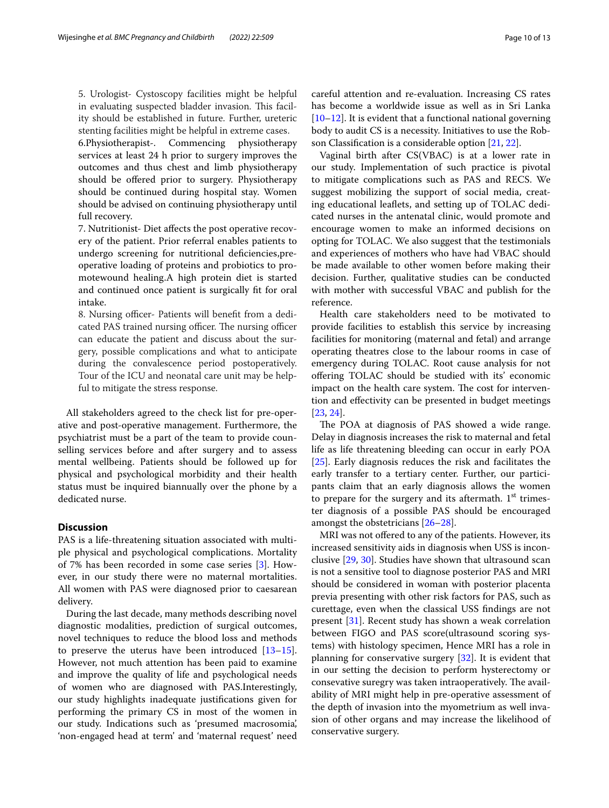5. Urologist- Cystoscopy facilities might be helpful in evaluating suspected bladder invasion. This facility should be established in future. Further, ureteric stenting facilities might be helpful in extreme cases.

6.Physiotherapist-. Commencing physiotherapy services at least 24 h prior to surgery improves the outcomes and thus chest and limb physiotherapy should be offered prior to surgery. Physiotherapy should be continued during hospital stay. Women should be advised on continuing physiotherapy until full recovery.

7. Nutritionist- Diet afects the post operative recovery of the patient. Prior referral enables patients to undergo screening for nutritional defciencies,preoperative loading of proteins and probiotics to promotewound healing.A high protein diet is started and continued once patient is surgically ft for oral intake.

8. Nursing officer- Patients will benefit from a dedicated PAS trained nursing officer. The nursing officer can educate the patient and discuss about the surgery, possible complications and what to anticipate during the convalescence period postoperatively. Tour of the ICU and neonatal care unit may be helpful to mitigate the stress response.

All stakeholders agreed to the check list for pre-operative and post-operative management. Furthermore, the psychiatrist must be a part of the team to provide counselling services before and after surgery and to assess mental wellbeing. Patients should be followed up for physical and psychological morbidity and their health status must be inquired biannually over the phone by a dedicated nurse.

## **Discussion**

PAS is a life-threatening situation associated with multiple physical and psychological complications. Mortality of 7% has been recorded in some case series [\[3](#page-11-1)]. However, in our study there were no maternal mortalities. All women with PAS were diagnosed prior to caesarean delivery.

During the last decade, many methods describing novel diagnostic modalities, prediction of surgical outcomes, novel techniques to reduce the blood loss and methods to preserve the uterus have been introduced  $[13-15]$  $[13-15]$  $[13-15]$ . However, not much attention has been paid to examine and improve the quality of life and psychological needs of women who are diagnosed with PAS.Interestingly, our study highlights inadequate justifcations given for performing the primary CS in most of the women in our study. Indications such as 'presumed macrosomia', 'non-engaged head at term' and 'maternal request' need careful attention and re-evaluation. Increasing CS rates has become a worldwide issue as well as in Sri Lanka  $[10–12]$  $[10–12]$  $[10–12]$ . It is evident that a functional national governing body to audit CS is a necessity. Initiatives to use the Robson Classifcation is a considerable option [\[21](#page-11-17), [22\]](#page-12-0).

Vaginal birth after CS(VBAC) is at a lower rate in our study. Implementation of such practice is pivotal to mitigate complications such as PAS and RECS. We suggest mobilizing the support of social media, creating educational leafets, and setting up of TOLAC dedicated nurses in the antenatal clinic, would promote and encourage women to make an informed decisions on opting for TOLAC. We also suggest that the testimonials and experiences of mothers who have had VBAC should be made available to other women before making their decision. Further, qualitative studies can be conducted with mother with successful VBAC and publish for the reference.

Health care stakeholders need to be motivated to provide facilities to establish this service by increasing facilities for monitoring (maternal and fetal) and arrange operating theatres close to the labour rooms in case of emergency during TOLAC. Root cause analysis for not ofering TOLAC should be studied with its' economic impact on the health care system. The cost for intervention and efectivity can be presented in budget meetings [[23,](#page-12-1) [24](#page-12-2)].

The POA at diagnosis of PAS showed a wide range. Delay in diagnosis increases the risk to maternal and fetal life as life threatening bleeding can occur in early POA [[25\]](#page-12-3). Early diagnosis reduces the risk and facilitates the early transfer to a tertiary center. Further, our participants claim that an early diagnosis allows the women to prepare for the surgery and its aftermath.  $1<sup>st</sup>$  trimester diagnosis of a possible PAS should be encouraged amongst the obstetricians [\[26](#page-12-4)[–28](#page-12-5)].

MRI was not offered to any of the patients. However, its increased sensitivity aids in diagnosis when USS is inconclusive [\[29](#page-12-6), [30\]](#page-12-7). Studies have shown that ultrasound scan is not a sensitive tool to diagnose posterior PAS and MRI should be considered in woman with posterior placenta previa presenting with other risk factors for PAS, such as curettage, even when the classical USS fndings are not present [\[31](#page-12-8)]. Recent study has shown a weak correlation between FIGO and PAS score(ultrasound scoring systems) with histology specimen, Hence MRI has a role in planning for conservative surgery  $[32]$  $[32]$ . It is evident that in our setting the decision to perform hysterectomy or consevative suregry was taken intraoperatively. The availability of MRI might help in pre-operative assessment of the depth of invasion into the myometrium as well invasion of other organs and may increase the likelihood of conservative surgery.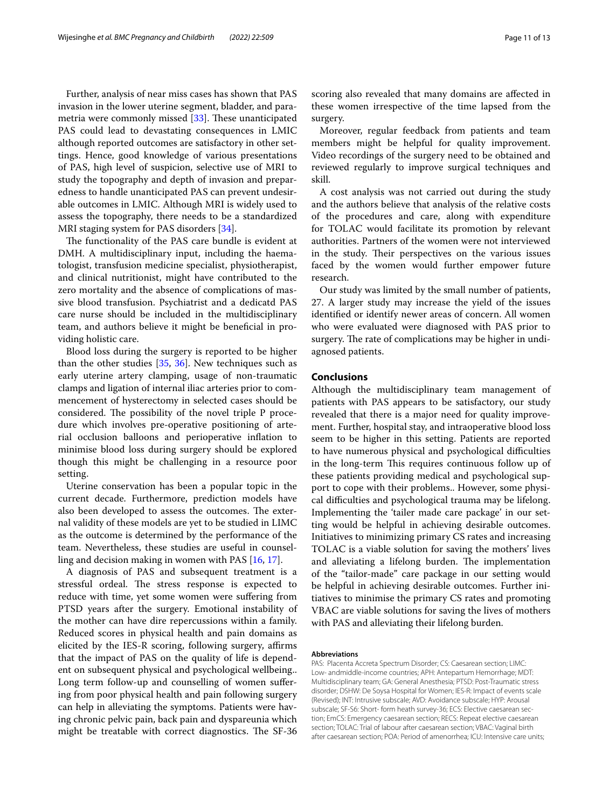Further, analysis of near miss cases has shown that PAS invasion in the lower uterine segment, bladder, and para-metria were commonly missed [[33](#page-12-10)]. These unanticipated PAS could lead to devastating consequences in LMIC although reported outcomes are satisfactory in other settings. Hence, good knowledge of various presentations of PAS, high level of suspicion, selective use of MRI to study the topography and depth of invasion and preparedness to handle unanticipated PAS can prevent undesirable outcomes in LMIC. Although MRI is widely used to assess the topography, there needs to be a standardized MRI staging system for PAS disorders [\[34](#page-12-11)].

The functionality of the PAS care bundle is evident at DMH. A multidisciplinary input, including the haematologist, transfusion medicine specialist, physiotherapist, and clinical nutritionist, might have contributed to the zero mortality and the absence of complications of massive blood transfusion. Psychiatrist and a dedicatd PAS care nurse should be included in the multidisciplinary team, and authors believe it might be benefcial in providing holistic care.

Blood loss during the surgery is reported to be higher than the other studies [\[35](#page-12-12), [36\]](#page-12-13). New techniques such as early uterine artery clamping, usage of non-traumatic clamps and ligation of internal iliac arteries prior to commencement of hysterectomy in selected cases should be considered. The possibility of the novel triple P procedure which involves pre-operative positioning of arterial occlusion balloons and perioperative infation to minimise blood loss during surgery should be explored though this might be challenging in a resource poor setting.

Uterine conservation has been a popular topic in the current decade. Furthermore, prediction models have also been developed to assess the outcomes. The external validity of these models are yet to be studied in LIMC as the outcome is determined by the performance of the team. Nevertheless, these studies are useful in counselling and decision making in women with PAS [\[16,](#page-11-18) [17](#page-11-12)].

A diagnosis of PAS and subsequent treatment is a stressful ordeal. The stress response is expected to reduce with time, yet some women were sufering from PTSD years after the surgery. Emotional instability of the mother can have dire repercussions within a family. Reduced scores in physical health and pain domains as elicited by the IES-R scoring, following surgery, affirms that the impact of PAS on the quality of life is dependent on subsequent physical and psychological wellbeing.. Long term follow-up and counselling of women sufering from poor physical health and pain following surgery can help in alleviating the symptoms. Patients were having chronic pelvic pain, back pain and dyspareunia which might be treatable with correct diagnostics. The SF-36 scoring also revealed that many domains are afected in these women irrespective of the time lapsed from the surgery.

Moreover, regular feedback from patients and team members might be helpful for quality improvement. Video recordings of the surgery need to be obtained and reviewed regularly to improve surgical techniques and skill.

A cost analysis was not carried out during the study and the authors believe that analysis of the relative costs of the procedures and care, along with expenditure for TOLAC would facilitate its promotion by relevant authorities. Partners of the women were not interviewed in the study. Their perspectives on the various issues faced by the women would further empower future research.

Our study was limited by the small number of patients, 27. A larger study may increase the yield of the issues identifed or identify newer areas of concern. All women who were evaluated were diagnosed with PAS prior to surgery. The rate of complications may be higher in undiagnosed patients.

## **Conclusions**

Although the multidisciplinary team management of patients with PAS appears to be satisfactory, our study revealed that there is a major need for quality improvement. Further, hospital stay, and intraoperative blood loss seem to be higher in this setting. Patients are reported to have numerous physical and psychological difficulties in the long-term This requires continuous follow up of these patients providing medical and psychological support to cope with their problems.. However, some physical difficulties and psychological trauma may be lifelong. Implementing the 'tailer made care package' in our setting would be helpful in achieving desirable outcomes. Initiatives to minimizing primary CS rates and increasing TOLAC is a viable solution for saving the mothers' lives and alleviating a lifelong burden. The implementation of the "tailor-made" care package in our setting would be helpful in achieving desirable outcomes. Further initiatives to minimise the primary CS rates and promoting VBAC are viable solutions for saving the lives of mothers with PAS and alleviating their lifelong burden.

#### **Abbreviations**

PAS: Placenta Accreta Spectrum Disorder; CS: Caesarean section; LIMC: Low- andmiddle-income countries; APH: Antepartum Hemorrhage; MDT: Multidisciplinary team; GA: General Anesthesia; PTSD: Post-Traumatic stress disorder; DSHW: De Soysa Hospital for Women; IES-R: Impact of events scale (Revised); INT: Intrusive subscale; AVD: Avoidance subscale; HYP: Arousal subscale; SF-S6: Short- form heath survey-36; ECS: Elective caesarean section; EmCS: Emergency caesarean section; RECS: Repeat elective caesarean section; TOLAC: Trial of labour after caesarean section; VBAC: Vaginal birth after caesarean section; POA: Period of amenorrhea; ICU: Intensive care units;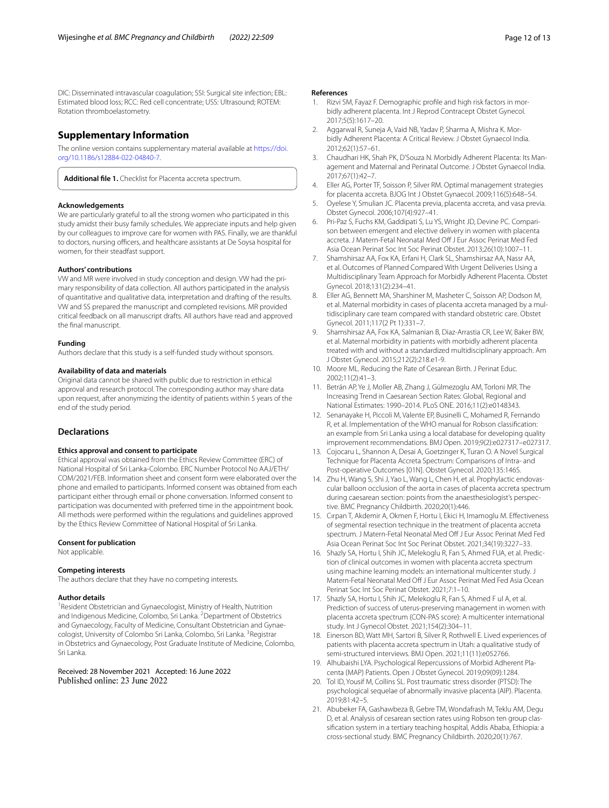DIC: Disseminated intravascular coagulation; SSI: Surgical site infection; EBL: Estimated blood loss; RCC: Red cell concentrate; USS: Ultrasound; ROTEM: Rotation thromboelastometry.

## **Supplementary Information**

The online version contains supplementary material available at [https://doi.](https://doi.org/10.1186/s12884-022-04840-7) [org/10.1186/s12884-022-04840-7](https://doi.org/10.1186/s12884-022-04840-7).

**Additional fle 1.** Checklist for Placenta accreta spectrum.

#### **Acknowledgements**

We are particularly grateful to all the strong women who participated in this study amidst their busy family schedules. We appreciate inputs and help given by our colleagues to improve care for women with PAS. Finally, we are thankful to doctors, nursing officers, and healthcare assistants at De Soysa hospital for women, for their steadfast support.

#### **Authors' contributions**

VW and MR were involved in study conception and design. VW had the primary responsibility of data collection. All authors participated in the analysis of quantitative and qualitative data, interpretation and drafting of the results. VW and SS prepared the manuscript and completed revisions. MR provided critical feedback on all manuscript drafts. All authors have read and approved the fnal manuscript.

#### **Funding**

Authors declare that this study is a self-funded study without sponsors.

#### **Availability of data and materials**

Original data cannot be shared with public due to restriction in ethical approval and research protocol. The corresponding author may share data upon request, after anonymizing the identity of patients within 5 years of the end of the study period.

## **Declarations**

#### **Ethics approval and consent to participate**

Ethical approval was obtained from the Ethics Review Committee (ERC) of National Hospital of Sri Lanka-Colombo. ERC Number Protocol No AAJ/ETH/ COM/2021/FEB. Information sheet and consent form were elaborated over the phone and emailed to participants. Informed consent was obtained from each participant either through email or phone conversation. Informed consent to participation was documented with preferred time in the appointment book. All methods were performed within the regulations and guidelines approved by the Ethics Review Committee of National Hospital of Sri Lanka.

#### **Consent for publication**

Not applicable.

#### **Competing interests**

The authors declare that they have no competing interests.

#### **Author details**

<sup>1</sup> Resident Obstetrician and Gynaecologist, Ministry of Health, Nutrition and Indigenous Medicine, Colombo, Sri Lanka. <sup>2</sup> Department of Obstetrics and Gynaecology, Faculty of Medicine, Consultant Obstetrician and Gynaecologist, University of Colombo Sri Lanka, Colombo, Sri Lanka. <sup>3</sup>Registrar in Obstetrics and Gynaecology, Post Graduate Institute of Medicine, Colombo, Sri Lanka.

## Received: 28 November 2021 Accepted: 16 June 2022

#### **References**

- <span id="page-11-0"></span>Rizvi SM, Fayaz F. Demographic profile and high risk factors in morbidly adherent placenta. Int J Reprod Contracept Obstet Gynecol. 2017;5(5):1617–20.
- 2. Aggarwal R, Suneja A, Vaid NB, Yadav P, Sharma A, Mishra K. Morbidly Adherent Placenta: A Critical Review. J Obstet Gynaecol India. 2012;62(1):57–61.
- <span id="page-11-1"></span>3. Chaudhari HK, Shah PK, D'Souza N. Morbidly Adherent Placenta: Its Management and Maternal and Perinatal Outcome. J Obstet Gynaecol India. 2017;67(1):42–7.
- <span id="page-11-2"></span>4. Eller AG, Porter TF, Soisson P, Silver RM. Optimal management strategies for placenta accreta. BJOG Int J Obstet Gynaecol. 2009;116(5):648–54.
- <span id="page-11-3"></span>5. Oyelese Y, Smulian JC. Placenta previa, placenta accreta, and vasa previa. Obstet Gynecol. 2006;107(4):927–41.
- <span id="page-11-4"></span>6. Pri-Paz S, Fuchs KM, Gaddipati S, Lu YS, Wright JD, Devine PC. Comparison between emergent and elective delivery in women with placenta accreta. J Matern-Fetal Neonatal Med Of J Eur Assoc Perinat Med Fed Asia Ocean Perinat Soc Int Soc Perinat Obstet. 2013;26(10):1007–11.
- <span id="page-11-5"></span>7. Shamshirsaz AA, Fox KA, Erfani H, Clark SL, Shamshirsaz AA, Nassr AA, et al. Outcomes of Planned Compared With Urgent Deliveries Using a Multidisciplinary Team Approach for Morbidly Adherent Placenta. Obstet Gynecol. 2018;131(2):234–41.
- <span id="page-11-6"></span>8. Eller AG, Bennett MA, Sharshiner M, Masheter C, Soisson AP, Dodson M, et al. Maternal morbidity in cases of placenta accreta managed by a multidisciplinary care team compared with standard obstetric care. Obstet Gynecol. 2011;117(2 Pt 1):331–7.
- <span id="page-11-7"></span>9. Shamshirsaz AA, Fox KA, Salmanian B, Diaz-Arrastia CR, Lee W, Baker BW, et al. Maternal morbidity in patients with morbidly adherent placenta treated with and without a standardized multidisciplinary approach. Am J Obstet Gynecol. 2015;212(2):218.e1-9.
- <span id="page-11-8"></span>10. Moore ML. Reducing the Rate of Cesarean Birth. J Perinat Educ. 2002;11(2):41–3.
- <span id="page-11-9"></span>11. Betrán AP, Ye J, Moller AB, Zhang J, Gülmezoglu AM, Torloni MR. The Increasing Trend in Caesarean Section Rates: Global, Regional and National Estimates: 1990–2014. PLoS ONE. 2016;11(2):e0148343.
- <span id="page-11-10"></span>12. Senanayake H, Piccoli M, Valente EP, Businelli C, Mohamed R, Fernando R, et al. Implementation of the WHO manual for Robson classifcation: an example from Sri Lanka using a local database for developing quality improvement recommendations. BMJ Open. 2019;9(2):e027317–e027317.
- <span id="page-11-11"></span>13. Cojocaru L, Shannon A, Desai A, Goetzinger K, Turan O. A Novel Surgical Technique for Placenta Accreta Spectrum: Comparisons of Intra- and Post-operative Outcomes [01N]. Obstet Gynecol. 2020;135:146S.
- 14. Zhu H, Wang S, Shi J, Yao L, Wang L, Chen H, et al. Prophylactic endovascular balloon occlusion of the aorta in cases of placenta accreta spectrum during caesarean section: points from the anaesthesiologist's perspective. BMC Pregnancy Childbirth. 2020;20(1):446.
- <span id="page-11-16"></span>15. Cırpan T, Akdemir A, Okmen F, Hortu I, Ekici H, Imamoglu M. Efectiveness of segmental resection technique in the treatment of placenta accreta spectrum. J Matern-Fetal Neonatal Med Off J Fur Assoc Perinat Med Fed Asia Ocean Perinat Soc Int Soc Perinat Obstet. 2021;34(19):3227–33.
- <span id="page-11-18"></span>16. Shazly SA, Hortu I, Shih JC, Melekoglu R, Fan S, Ahmed FUA, et al. Prediction of clinical outcomes in women with placenta accreta spectrum using machine learning models: an international multicenter study. J Matern-Fetal Neonatal Med Off J Eur Assoc Perinat Med Fed Asia Ocean Perinat Soc Int Soc Perinat Obstet. 2021;7:1–10.
- <span id="page-11-12"></span>17. Shazly SA, Hortu I, Shih JC, Melekoglu R, Fan S, Ahmed F ul A, et al. Prediction of success of uterus-preserving management in women with placenta accreta spectrum (CON-PAS score): A multicenter international study. Int J Gynecol Obstet. 2021;154(2):304–11.
- <span id="page-11-13"></span>18. Einerson BD, Watt MH, Sartori B, Silver R, Rothwell E. Lived experiences of patients with placenta accreta spectrum in Utah: a qualitative study of semi-structured interviews. BMJ Open. 2021;11(11):e052766.
- <span id="page-11-14"></span>19. Alhubaishi LYA. Psychological Repercussions of Morbid Adherent Placenta (MAP) Patients. Open J Obstet Gynecol. 2019;09(09):1284.
- <span id="page-11-15"></span>20. Tol ID, Yousif M, Collins SL. Post traumatic stress disorder (PTSD): The psychological sequelae of abnormally invasive placenta (AIP). Placenta. 2019;81:42–5.
- <span id="page-11-17"></span>21. Abubeker FA, Gashawbeza B, Gebre TM, Wondafrash M, Teklu AM, Degu D, et al. Analysis of cesarean section rates using Robson ten group classifcation system in a tertiary teaching hospital, Addis Ababa, Ethiopia: a cross-sectional study. BMC Pregnancy Childbirth. 2020;20(1):767.